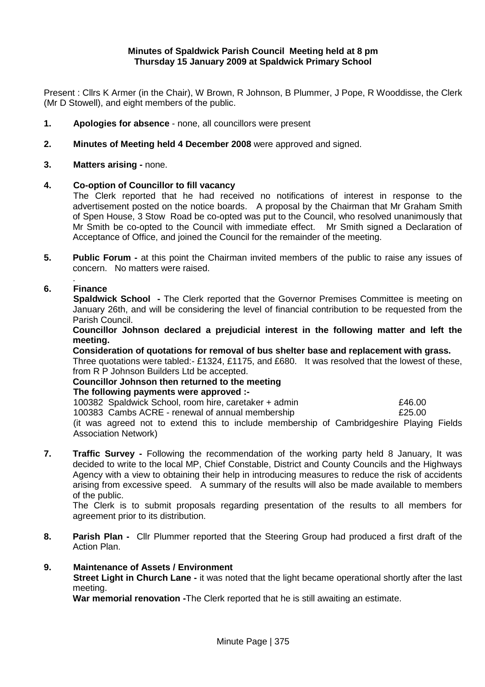### **Minutes of Spaldwick Parish Council Meeting held at 8 pm Thursday 15 January 2009 at Spaldwick Primary School**

Present : Cllrs K Armer (in the Chair), W Brown, R Johnson, B Plummer, J Pope, R Wooddisse, the Clerk (Mr D Stowell), and eight members of the public.

- **1. Apologies for absence**  none, all councillors were present
- **2. Minutes of Meeting held 4 December 2008** were approved and signed.
- **3.** Matters arising none.

### **4. Co-option of Councillor to fill vacancy**

The Clerk reported that he had received no notifications of interest in response to the advertisement posted on the notice boards. A proposal by the Chairman that Mr Graham Smith of Spen House, 3 Stow Road be co-opted was put to the Council, who resolved unanimously that Mr Smith be co-opted to the Council with immediate effect. Mr Smith signed a Declaration of Acceptance of Office, and joined the Council for the remainder of the meeting.

**5. Public Forum -** at this point the Chairman invited members of the public to raise any issues of concern. No matters were raised.

#### . **6. Finance**

**Spaldwick School** - The Clerk reported that the Governor Premises Committee is meeting on January 26th, and will be considering the level of financial contribution to be requested from the Parish Council.

**Councillor Johnson declared a prejudicial interest in the following matter and left the meeting.**

**Consideration of quotations for removal of bus shelter base and replacement with grass.**  Three quotations were tabled:- £1324, £1175, and £680. It was resolved that the lowest of these, from R P Johnson Builders Ltd be accepted.

## **Councillor Johnson then returned to the meeting**

#### **The following payments were approved :-**

100382 Spaldwick School, room hire, caretaker + admin £46.00 100383 Cambs ACRE - renewal of annual membership £25.00 (it was agreed not to extend this to include membership of Cambridgeshire Playing Fields Association Network)

**7.** Traffic Survey - Following the recommendation of the working party held 8 January, It was decided to write to the local MP, Chief Constable, District and County Councils and the Highways Agency with a view to obtaining their help in introducing measures to reduce the risk of accidents arising from excessive speed. A summary of the results will also be made available to members of the public.

The Clerk is to submit proposals regarding presentation of the results to all members for agreement prior to its distribution.

**8. Parish Plan -** Cllr Plummer reported that the Steering Group had produced a first draft of the Action Plan.

#### **9. Maintenance of Assets / Environment**

**Street Light in Church Lane -** it was noted that the light became operational shortly after the last meeting.

**War memorial renovation -**The Clerk reported that he is still awaiting an estimate.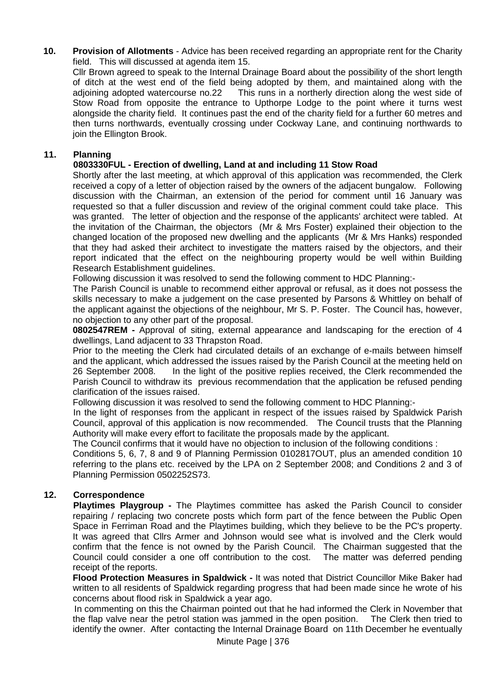**10. Provision of Allotments** - Advice has been received regarding an appropriate rent for the Charity field. This will discussed at agenda item 15.

Cllr Brown agreed to speak to the Internal Drainage Board about the possibility of the short length of ditch at the west end of the field being adopted by them, and maintained along with the adjoining adopted watercourse no.22 This runs in a northerly direction along the west side of Stow Road from opposite the entrance to Upthorpe Lodge to the point where it turns west alongside the charity field. It continues past the end of the charity field for a further 60 metres and then turns northwards, eventually crossing under Cockway Lane, and continuing northwards to join the Ellington Brook.

## **11. Planning**

## **0803330FUL - Erection of dwelling, Land at and including 11 Stow Road**

Shortly after the last meeting, at which approval of this application was recommended, the Clerk received a copy of a letter of objection raised by the owners of the adjacent bungalow. Following discussion with the Chairman, an extension of the period for comment until 16 January was requested so that a fuller discussion and review of the original comment could take place. This was granted. The letter of objection and the response of the applicants' architect were tabled. At the invitation of the Chairman, the objectors (Mr & Mrs Foster) explained their objection to the changed location of the proposed new dwelling and the applicants (Mr & Mrs Hanks) responded that they had asked their architect to investigate the matters raised by the objectors, and their report indicated that the effect on the neighbouring property would be well within Building Research Establishment guidelines.

Following discussion it was resolved to send the following comment to HDC Planning:-

The Parish Council is unable to recommend either approval or refusal, as it does not possess the skills necessary to make a judgement on the case presented by Parsons & Whittley on behalf of the applicant against the objections of the neighbour, Mr S. P. Foster. The Council has, however, no objection to any other part of the proposal.

**0802547REM -** Approval of siting, external appearance and landscaping for the erection of 4 dwellings, Land adjacent to 33 Thrapston Road.

Prior to the meeting the Clerk had circulated details of an exchange of e-mails between himself and the applicant, which addressed the issues raised by the Parish Council at the meeting held on 26 September 2008. In the light of the positive replies received, the Clerk recommended the Parish Council to withdraw its previous recommendation that the application be refused pending clarification of the issues raised.

Following discussion it was resolved to send the following comment to HDC Planning:-

In the light of responses from the applicant in respect of the issues raised by Spaldwick Parish Council, approval of this application is now recommended. The Council trusts that the Planning Authority will make every effort to facilitate the proposals made by the applicant.

The Council confirms that it would have no objection to inclusion of the following conditions :

Conditions 5, 6, 7, 8 and 9 of Planning Permission 0102817OUT, plus an amended condition 10 referring to the plans etc. received by the LPA on 2 September 2008; and Conditions 2 and 3 of Planning Permission 0502252S73.

### **12. Correspondence**

 **Playtimes Playgroup -** The Playtimes committee has asked the Parish Council to consider repairing / replacing two concrete posts which form part of the fence between the Public Open Space in Ferriman Road and the Playtimes building, which they believe to be the PC's property. It was agreed that Cllrs Armer and Johnson would see what is involved and the Clerk would confirm that the fence is not owned by the Parish Council. The Chairman suggested that the Council could consider a one off contribution to the cost. The matter was deferred pending receipt of the reports.

 **Flood Protection Measures in Spaldwick -** It was noted that District Councillor Mike Baker had written to all residents of Spaldwick regarding progress that had been made since he wrote of his concerns about flood risk in Spaldwick a year ago.

 In commenting on this the Chairman pointed out that he had informed the Clerk in November that the flap valve near the petrol station was jammed in the open position. The Clerk then tried to identify the owner. After contacting the Internal Drainage Board on 11th December he eventually